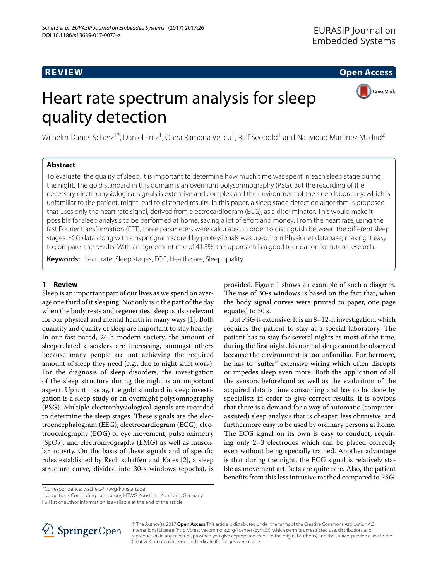**REVIEW Open Access**



# Heart rate spectrum analysis for sleep quality detection

Wilhelm Daniel Scherz<sup>1\*</sup>, Daniel Fritz<sup>1</sup>, Oana Ramona Velicu<sup>1</sup>, Ralf Seepold<sup>1</sup> and Natividad Martínez Madrid<sup>2</sup>

# **Abstract**

To evaluate the quality of sleep, it is important to determine how much time was spent in each sleep stage during the night. The gold standard in this domain is an overnight polysomnography (PSG). But the recording of the necessary electrophysiological signals is extensive and complex and the environment of the sleep laboratory, which is unfamiliar to the patient, might lead to distorted results. In this paper, a sleep stage detection algorithm is proposed that uses only the heart rate signal, derived from electrocardiogram (ECG), as a discriminator. This would make it possible for sleep analysis to be performed at home, saving a lot of effort and money. From the heart rate, using the fast Fourier transformation (FFT), three parameters were calculated in order to distinguish between the different sleep stages. ECG data along with a hypnogram scored by professionals was used from Physionet database, making it easy to compare the results. With an agreement rate of 41.3%, this approach is a good foundation for future research.

**Keywords:** Heart rate, Sleep stages, ECG, Health care, Sleep quality

# **1 Review**

Sleep is an important part of our lives as we spend on average one third of it sleeping. Not only is it the part of the day when the body rests and regenerates, sleep is also relevant for our physical and mental health in many ways [\[1\]](#page-4-0). Both quantity and quality of sleep are important to stay healthy. In our fast-paced, 24-h modern society, the amount of sleep-related disorders are increasing, amongst others because many people are not achieving the required amount of sleep they need (e.g., due to night shift work). For the diagnosis of sleep disorders, the investigation of the sleep structure during the night is an important aspect. Up until today, the gold standard in sleep investigation is a sleep study or an overnight polysomnography (PSG). Multiple electrophysiological signals are recorded to determine the sleep stages. These signals are the electroencephalogram (EEG), electrocardiogram (ECG), electrooculography (EOG) or eye movement, pulse oximetry  $(SpO<sub>2</sub>)$ , and electromyography (EMG) as well as muscular activity. On the basis of these signals and of specific rules established by Rechtschaffen and Kales [\[2\]](#page-4-1), a sleep structure curve, divided into 30-s windows (epochs), is

provided. Figure [1](#page-1-0) shows an example of such a diagram. The use of 30-s windows is based on the fact that, when the body signal curves were printed to paper, one page equated to 30 s.

But PSG is extensive: It is an 8–12-h investigation, which requires the patient to stay at a special laboratory. The patient has to stay for several nights as most of the time, during the first night, his normal sleep cannot be observed because the environment is too unfamiliar. Furthermore, he has to "suffer" extensive wiring which often disrupts or impedes sleep even more. Both the application of all the sensors beforehand as well as the evaluation of the acquired data is time consuming and has to be done by specialists in order to give correct results. It is obvious that there is a demand for a way of automatic (computerassisted) sleep analysis that is cheaper, less obtrusive, and furthermore easy to be used by ordinary persons at home. The ECG signal on its own is easy to conduct, requiring only 2–3 electrodes which can be placed correctly even without being specially trained. Another advantage is that during the night, the ECG signal is relatively stable as movement artifacts are quite rare. Also, the patient benefits from this less intrusive method compared to PSG.

\*Correspondence: [wscherz@htwg-konstanz.de](mailto: wscherz@htwg-konstanz.de)

1Ubiquitious Computing Laboratory, HTWG Konstanz, Konstanz, Germany

Full list of author information is available at the end of the article



© The Author(s). 2017 **Open Access** This article is distributed under the terms of the Creative Commons Attribution 4.0 International License [\(http://creativecommons.org/licenses/by/4.0/\)](http://creativecommons.org/licenses/by/4.0/), which permits unrestricted use, distribution, and reproduction in any medium, provided you give appropriate credit to the original author(s) and the source, provide a link to the Creative Commons license, and indicate if changes were made.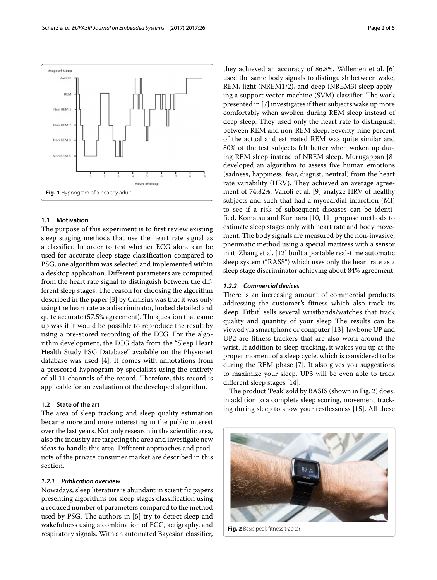

#### <span id="page-1-0"></span>**1.1 Motivation**

The purpose of this experiment is to first review existing sleep staging methods that use the heart rate signal as a classifier. In order to test whether ECG alone can be used for accurate sleep stage classification compared to PSG, one algorithm was selected and implemented within a desktop application. Different parameters are computed from the heart rate signal to distinguish between the different sleep stages. The reason for choosing the algorithm described in the paper [\[3\]](#page-4-2) by Canisius was that it was only using the heart rate as a discriminator, looked detailed and quite accurate (57.5% agreement). The question that came up was if it would be possible to reproduce the result by using a pre-scored recording of the ECG. For the algorithm development, the ECG data from the "Sleep Heart Health Study PSG Database" available on the Physionet database was used [\[4\]](#page-4-3). It comes with annotations from a prescored hypnogram by specialists using the entirety of all 11 channels of the record. Therefore, this record is applicable for an evaluation of the developed algorithm.

# **1.2 State of the art**

The area of sleep tracking and sleep quality estimation became more and more interesting in the public interest over the last years. Not only research in the scientific area, also the industry are targeting the area and investigate new ideas to handle this area. Different approaches and products of the private consumer market are described in this section.

#### *1.2.1 Publication overview*

Nowadays, sleep literature is abundant in scientific papers presenting algorithms for sleep stages classification using a reduced number of parameters compared to the method used by PSG. The authors in [\[5\]](#page-4-4) try to detect sleep and wakefulness using a combination of ECG, actigraphy, and respiratory signals. With an automated Bayesian classifier, they achieved an accuracy of 86.8%. Willemen et al. [\[6\]](#page-4-5) used the same body signals to distinguish between wake, REM, light (NREM1/2), and deep (NREM3) sleep applying a support vector machine (SVM) classifier. The work presented in [\[7\]](#page-4-6) investigates if their subjects wake up more comfortably when awoken during REM sleep instead of deep sleep. They used only the heart rate to distinguish between REM and non-REM sleep. Seventy-nine percent of the actual and estimated REM was quite similar and 80% of the test subjects felt better when woken up during REM sleep instead of NREM sleep. Murugappan [\[8\]](#page-4-7) developed an algorithm to assess five human emotions (sadness, happiness, fear, disgust, neutral) from the heart rate variability (HRV). They achieved an average agreement of 74.82%. Vanoli et al. [\[9\]](#page-4-8) analyze HRV of healthy subjects and such that had a myocardial infarction (MI) to see if a risk of subsequent diseases can be identified. Komatsu and Kurihara [\[10,](#page-4-9) [11\]](#page-4-10) propose methods to estimate sleep stages only with heart rate and body movement. The body signals are measured by the non-invasive, pneumatic method using a special mattress with a sensor in it. Zhang et al. [\[12\]](#page-4-11) built a portable real-time automatic sleep system ("RASS") which uses only the heart rate as a sleep stage discriminator achieving about 84% agreement.

#### *1.2.2 Commercial devices*

There is an increasing amount of commercial products addressing the customer's fitness which also track its sleep. Fitbit sells several wristbands/watches that track quality and quantity of your sleep The results can be viewed via smartphone or computer [\[13\]](#page-4-12). Jawbone UP and UP2 are fitness trackers that are also worn around the wrist. It addition to sleep tracking, it wakes you up at the proper moment of a sleep cycle, which is considered to be during the REM phase [\[7\]](#page-4-6). It also gives you suggestions to maximize your sleep. UP3 will be even able to track different sleep stages [\[14\]](#page-4-13).

The product 'Peak' sold by BASIS (shown in Fig. [2\)](#page-1-1) does, in addition to a complete sleep scoring, movement tracking during sleep to show your restlessness [\[15\]](#page-4-14). All these

<span id="page-1-1"></span>

**Fig. 2** Basis peak fitness tracker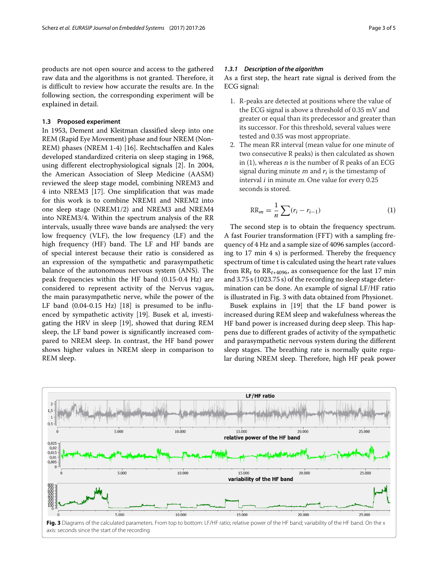products are not open source and access to the gathered raw data and the algorithms is not granted. Therefore, it is difficult to review how accurate the results are. In the following section, the corresponding experiment will be explained in detail.

#### **1.3 Proposed experiment**

In 1953, Dement and Kleitman classified sleep into one REM (Rapid Eye Movement) phase and four NREM (Non-REM) phases (NREM 1-4) [\[16\]](#page-4-15). Rechtschaffen and Kales developed standardized criteria on sleep staging in 1968, using different electrophysiological signals [\[2\]](#page-4-1). In 2004, the American Association of Sleep Medicine (AASM) reviewed the sleep stage model, combining NREM3 and 4 into NREM3 [\[17\]](#page-4-16). One simplification that was made for this work is to combine NREM1 and NREM2 into one sleep stage (NREM1/2) and NREM3 and NREM4 into NREM3/4. Within the spectrum analysis of the RR intervals, usually three wave bands are analysed: the very low frequency (VLF), the low frequency (LF) and the high frequency (HF) band. The LF and HF bands are of special interest because their ratio is considered as an expression of the sympathetic and parasympathetic balance of the autonomous nervous system (ANS). The peak frequencies within the HF band (0.15-0.4 Hz) are considered to represent activity of the Nervus vagus, the main parasympathetic nerve, while the power of the LF band (0.04-0.15 Hz) [\[18\]](#page-4-17) is presumed to be influenced by sympathetic activity [\[19\]](#page-4-18). Busek et al, investigating the HRV in sleep [\[19\]](#page-4-18), showed that during REM sleep, the LF band power is significantly increased compared to NREM sleep. In contrast, the HF band power shows higher values in NREM sleep in comparison to REM sleep.

#### *1.3.1 Description of the algorithm*

As a first step, the heart rate signal is derived from the ECG signal:

- 1. R-peaks are detected at positions where the value of the ECG signal is above a threshold of 0.35 mV and greater or equal than its predecessor and greater than its successor. For this threshold, several values were tested and 0.35 was most appropriate.
- 2. The mean RR interval (mean value for one minute of two consecutive R peaks) is then calculated as shown in  $(1)$ , whereas *n* is the number of R peaks of an ECG signal during minute  $m$  and  $r_i$  is the timestamp of interval *i* in minute *m*. One value for every 0.25 seconds is stored.

$$
RR_m = \frac{1}{n} \sum (r_i - r_{i-1})
$$
 (1)

The second step is to obtain the frequency spectrum. A fast Fourier transformation (FFT) with a sampling frequency of 4 Hz and a sample size of 4096 samples (according to 17 min 4 s) is performed. Thereby the frequency spectrum of time t is calculated using the heart rate values from  $RR_t$  to  $RR_{t+4096}$ , as consequence for the last 17 min and 3.75 s (1023.75 s) of the recording no sleep stage determination can be done. An example of signal LF/HF ratio is illustrated in Fig. [3](#page-2-0) with data obtained from Physionet.

Busek explains in [\[19\]](#page-4-18) that the LF band power is increased during REM sleep and wakefulness whereas the HF band power is increased during deep sleep. This happens due to different grades of activity of the sympathetic and parasympathetic nervous system during the different sleep stages. The breathing rate is normally quite regular during NREM sleep. Therefore, high HF peak power

<span id="page-2-0"></span>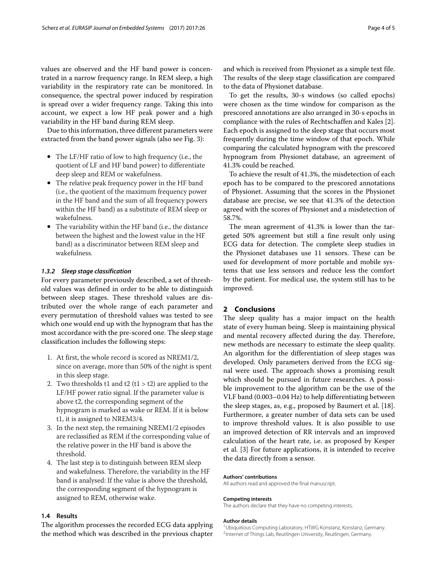values are observed and the HF band power is concentrated in a narrow frequency range. In REM sleep, a high variability in the respiratory rate can be monitored. In consequence, the spectral power induced by respiration is spread over a wider frequency range. Taking this into account, we expect a low HF peak power and a high variability in the HF band during REM sleep.

Due to this information, three different parameters were extracted from the band power signals (also see Fig. [3\)](#page-2-0):

- The LF/HF ratio of low to high frequency (i.e., the quotient of LF and HF band power) to differentiate deep sleep and REM or wakefulness.
- The relative peak frequency power in the HF band (i.e., the quotient of the maximum frequency power in the HF band and the sum of all frequency powers within the HF band) as a substitute of REM sleep or wakefulness.
- The variability within the HF band (i.e., the distance between the highest and the lowest value in the HF band) as a discriminator between REM sleep and wakefulness.

#### *1.3.2 Sleep stage classification*

For every parameter previously described, a set of threshold values was defined in order to be able to distinguish between sleep stages. These threshold values are distributed over the whole range of each parameter and every permutation of threshold values was tested to see which one would end up with the hypnogram that has the most accordance with the pre-scored one. The sleep stage classification includes the following steps:

- 1. At first, the whole record is scored as NREM1/2, since on average, more than 50% of the night is spent in this sleep stage.
- 2. Two thresholds t1 and t2 (t1  $>$  t2) are applied to the LF/HF power ratio signal. If the parameter value is above t2, the corresponding segment of the hypnogram is marked as wake or REM. If it is below t1, it is assigned to NREM3/4.
- 3. In the next step, the remaining NREM1/2 episodes are reclassified as REM if the corresponding value of the relative power in the HF band is above the threshold.
- 4. The last step is to distinguish between REM sleep and wakefulness. Therefore, the variability in the HF band is analysed: If the value is above the threshold, the corresponding segment of the hypnogram is assigned to REM, otherwise wake.

# **1.4 Results**

The algorithm processes the recorded ECG data applying the method which was described in the previous chapter and which is received from Physionet as a simple text file. The results of the sleep stage classification are compared to the data of Physionet database.

To get the results, 30-s windows (so called epochs) were chosen as the time window for comparison as the prescored annotations are also arranged in 30-s epochs in compliance with the rules of Rechtschaffen and Kales [\[2\]](#page-4-1). Each epoch is assigned to the sleep stage that occurs most frequently during the time window of that epoch. While comparing the calculated hypnogram with the prescored hypnogram from Physionet database, an agreement of 41.3% could be reached.

To achieve the result of 41.3%, the misdetection of each epoch has to be compared to the prescored annotations of Physionet. Assuming that the scores in the Physionet database are precise, we see that 41.3% of the detection agreed with the scores of Physionet and a misdetection of 58.7%.

The mean agreement of 41.3% is lower than the targeted 50% agreement but still a fine result only using ECG data for detection. The complete sleep studies in the Physionet databases use 11 sensors. These can be used for development of more portable and mobile systems that use less sensors and reduce less the comfort by the patient. For medical use, the system still has to be improved.

# **2 Conclusions**

The sleep quality has a major impact on the health state of every human being. Sleep is maintaining physical and mental recovery affected during the day. Therefore, new methods are necessary to estimate the sleep quality. An algorithm for the differentiation of sleep stages was developed. Only parameters derived from the ECG signal were used. The approach shows a promising result which should be pursued in future researches. A possible improvement to the algorithm can be the use of the VLF band (0.003–0.04 Hz) to help differentiating between the sleep stages, as, e.g., proposed by Baumert et al. [\[18\]](#page-4-17). Furthermore, a greater number of data sets can be used to improve threshold values. It is also possible to use an improved detection of RR intervals and an improved calculation of the heart rate, i.e. as proposed by Kesper et al. [\[3\]](#page-4-2) For future applications, it is intended to receive the data directly from a sensor.

#### **Authors' contributions**

All authors read and approved the final manuscript.

#### **Competing interests**

The authors declare that they have no competing interests.

#### **Author details**

<sup>1</sup> Ubiquitious Computing Laboratory, HTWG Konstanz, Konstanz, Germany. 2Internet of Things Lab, Reutlingen University, Reutlingen, Germany.